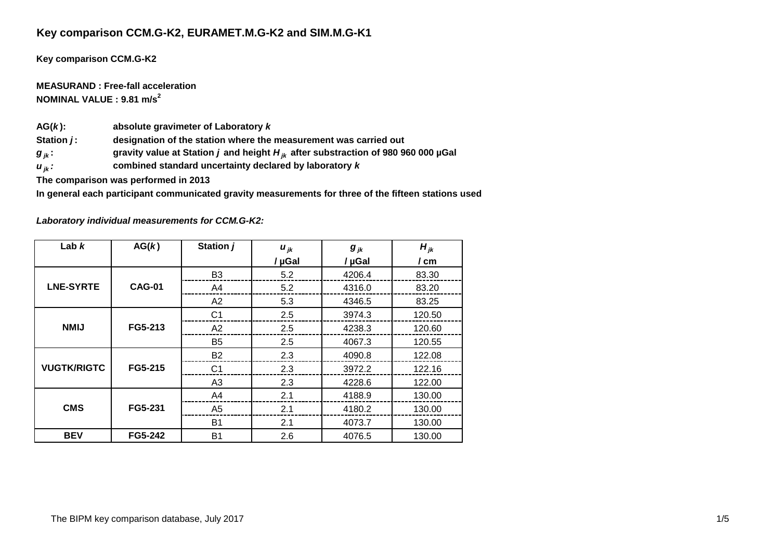# **Key comparison CCM.G-K2, EURAMET.M.G-K2 and SIM.M.G-K1**

**Key comparison CCM.G-K2**

**MEASURAND : Free-fall acceleration NOMINAL VALUE : 9.81 m/s<sup>2</sup>**

**AG(***k* **): absolute gravimeter of Laboratory** *k*

**Station** *j* **: designation of the station where the measurement was carried out**

*g jk* **: gravity value at Station** *j* **and height** *H jk* **after substraction of 980 960 000 µGal**

*u*<sub>ik</sub>: **combined standard uncertainty declared by laboratory** *k* 

**The comparison was performed in 2013**

**In general each participant communicated gravity measurements for three of the fifteen stations used**

| Lab $k$            | AG(k)         | Station j      | $u_{jk}$ | $g_{jk}$ | $H_{ik}$ |
|--------------------|---------------|----------------|----------|----------|----------|
|                    |               |                | / µGal   | / µGal   | / cm     |
|                    |               | B <sub>3</sub> | 5.2      | 4206.4   | 83.30    |
| <b>LNE-SYRTE</b>   | <b>CAG-01</b> | A4             | 5.2      | 4316.0   | 83.20    |
|                    |               | A2             | 5.3      | 4346.5   | 83.25    |
|                    |               | C <sub>1</sub> | 2.5      | 3974.3   | 120.50   |
| <b>NMIJ</b>        | FG5-213       | A2             | 2.5      | 4238.3   | 120.60   |
|                    |               | <b>B5</b>      | 2.5      | 4067.3   | 120.55   |
|                    |               | <b>B2</b>      | 2.3      | 4090.8   | 122.08   |
| <b>VUGTK/RIGTC</b> | FG5-215       | C <sub>1</sub> | 2.3      | 3972.2   | 122.16   |
|                    |               | A <sub>3</sub> | 2.3      | 4228.6   | 122.00   |
|                    |               | A4             | 2.1      | 4188.9   | 130.00   |
| <b>CMS</b>         | FG5-231       | A <sub>5</sub> | 2.1      | 4180.2   | 130.00   |
|                    |               | B <sub>1</sub> | 2.1      | 4073.7   | 130.00   |
| <b>BEV</b>         | FG5-242       | B <sub>1</sub> | 2.6      | 4076.5   | 130.00   |

*Laboratory individual measurements for CCM.G-K2:*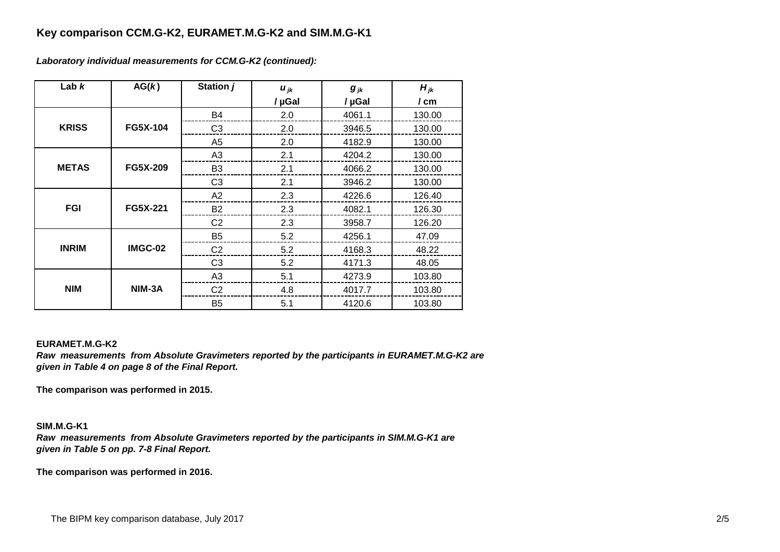# **Key comparison CCM.G-K2, EURAMET.M.G-K2 and SIM.M.G-K1**

*Laboratory individual measurements for CCM.G-K2 (continued):*

| Lab $k$      | AG(k)           | Station j      | $u_{jk}$ | $g_{jk}$ | $H_{ik}$ |
|--------------|-----------------|----------------|----------|----------|----------|
|              |                 |                | / µGal   | / µGal   | / cm     |
|              |                 | <b>B4</b>      | 2.0      | 4061.1   | 130.00   |
| <b>KRISS</b> | <b>FG5X-104</b> | C <sub>3</sub> | 2.0      | 3946.5   | 130.00   |
|              |                 | A <sub>5</sub> | 2.0      | 4182.9   | 130.00   |
|              |                 | A <sub>3</sub> | 2.1      | 4204.2   | 130.00   |
| <b>METAS</b> | <b>FG5X-209</b> | B <sub>3</sub> | 2.1      | 4066.2   | 130.00   |
|              |                 | C <sub>3</sub> | 2.1      | 3946.2   | 130.00   |
|              |                 | A2             | 2.3      | 4226.6   | 126.40   |
| <b>FGI</b>   | FG5X-221        | <b>B2</b>      | 2.3      | 4082.1   | 126.30   |
|              |                 | C <sub>2</sub> | 2.3      | 3958.7   | 126.20   |
|              |                 | B <sub>5</sub> | 5.2      | 4256.1   | 47.09    |
| <b>INRIM</b> | IMGC-02         | C <sub>2</sub> | 5.2      | 4168.3   | 48.22    |
|              |                 | C <sub>3</sub> | 5.2      | 4171.3   | 48.05    |
|              |                 | A <sub>3</sub> | 5.1      | 4273.9   | 103.80   |
| <b>NIM</b>   | NIM-3A          | C <sub>2</sub> | 4.8      | 4017.7   | 103.80   |
|              |                 | B <sub>5</sub> | 5.1      | 4120.6   | 103.80   |

### **EURAMET.M.G-K2**

*Raw measurements from Absolute Gravimeters reported by the participants in EURAMET.M.G-K2 are given in Table 4 on page 8 of the Final Report.*

**The comparison was performed in 2015.**

**SIM.M.G-K1**

*Raw measurements from Absolute Gravimeters reported by the participants in SIM.M.G-K1 are given in Table 5 on pp. 7-8 Final Report.*

**The comparison was performed in 2016.**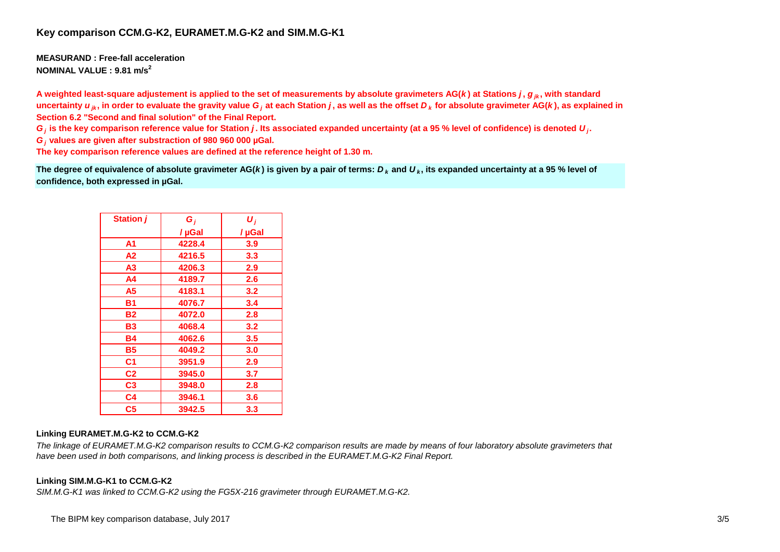### **Key comparison CCM.G-K2, EURAMET.M.G-K2 and SIM.M.G-K1**

**MEASURAND : Free-fall acceleration NOMINAL VALUE : 9.81 m/s<sup>2</sup>**

A weighted least-square adjustement is applied to the set of measurements by absolute gravimeters  $AG(k)$  at Stations  $j, g_{ik}$ , with standard uncertainty  $\bm{u}_{j\bm{k}},$  in order to evaluate the gravity value  $\bm{G}_j$  at each Station  $\bm{j},$  as well as the offset  $\bm{D}_{\bm{k}}$  for absolute gravimeter AG( $\bm{k}$ ), as explained in **Section 6.2 "Second and final solution" of the Final Report.**

 $G_j$  is the key comparison reference value for Station  $j$ . Its associated expanded uncertainty (at a 95 % level of confidence) is denoted  $\bm{U}_j$ .

*G <sup>j</sup>*  **values are given after substraction of 980 960 000 µGal.**

**The key comparison reference values are defined at the reference height of 1.30 m.**

**The degree of equivalence of absolute gravimeter AG(***k* **) is given by a pair of terms:** *D <sup>k</sup>*  **and** *U <sup>k</sup>* **, its expanded uncertainty at a 95 % level of confidence, both expressed in µGal.**

| <b>Station j</b> | $G_i$  | $\boldsymbol{U}_i$ |
|------------------|--------|--------------------|
|                  | / µGal | / µGal             |
| A1               | 4228.4 | 3.9                |
| A2               | 4216.5 | 3.3                |
| A3               | 4206.3 | 2.9                |
| A4               | 4189.7 | 2.6                |
| A5               | 4183.1 | 3.2                |
| <b>B1</b>        | 4076.7 | 3.4                |
| Β2               | 4072.0 | 2.8                |
| B3               | 4068.4 | 3.2                |
| Β4               | 4062.6 | 3.5                |
| B5               | 4049.2 | 3.0                |
| C <sub>1</sub>   | 3951.9 | 2.9                |
| C <sub>2</sub>   | 3945.0 | 3.7                |
| C <sub>3</sub>   | 3948.0 | 2.8                |
| C <sub>4</sub>   | 3946.1 | 3.6                |
| C <sub>5</sub>   | 3942.5 | 3.3                |

#### **Linking EURAMET.M.G-K2 to CCM.G-K2**

*The linkage of EURAMET.M.G-K2 comparison results to CCM.G-K2 comparison results are made by means of four laboratory absolute gravimeters that have been used in both comparisons, and linking process is described in the EURAMET.M.G-K2 Final Report.*

#### **Linking SIM.M.G-K1 to CCM.G-K2**

*SIM.M.G-K1 was linked to CCM.G-K2 using the FG5X-216 gravimeter through EURAMET.M.G-K2.*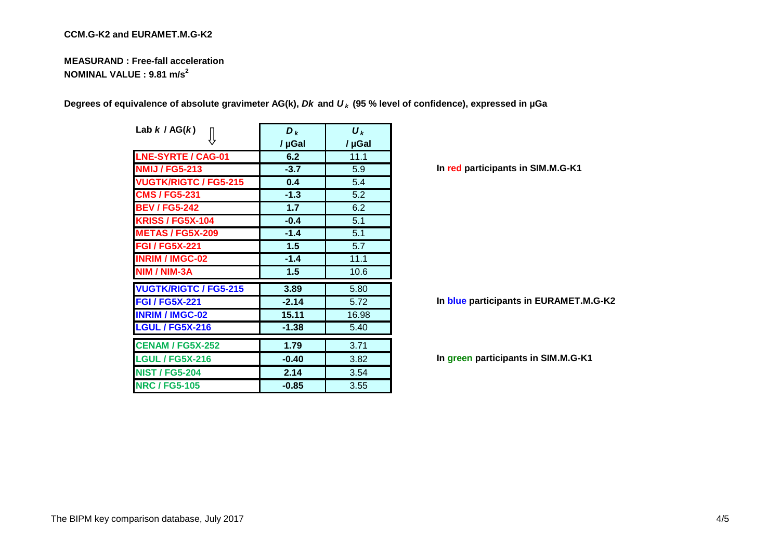### **CCM.G-K2 and EURAMET.M.G-K2**

## **MEASURAND : Free-fall acceleration NOMINAL VALUE : 9.81 m/s<sup>2</sup>**

| Lab $k / AG(k)$              | $D_k$<br>/ µGal | $\boldsymbol{U}_k$<br>/ µGal |
|------------------------------|-----------------|------------------------------|
| <b>LNE-SYRTE / CAG-01</b>    | 6.2             | 11.1                         |
| <b>NMIJ / FG5-213</b>        | $-3.7$          | 5.9                          |
| <b>VUGTK/RIGTC / FG5-215</b> | 0.4             | 5.4                          |
| <b>CMS/FG5-231</b>           | $-1.3$          | 5.2                          |
| <b>BEV / FG5-242</b>         | 1.7             | 6.2                          |
| <b>KRISS / FG5X-104</b>      | $-0.4$          | 5.1                          |
| <b>METAS / FG5X-209</b>      | $-1.4$          | 5.1                          |
| <b>FGI / FG5X-221</b>        | 1.5             | 5.7                          |
| <b>INRIM / IMGC-02</b>       | $-1.4$          | 11.1                         |
| NIM / NIM-3A                 | 1.5             | 10.6                         |
| <b>VUGTK/RIGTC / FG5-215</b> | 3.89            | 5.80                         |
| <b>FGI / FG5X-221</b>        | $-2.14$         | 5.72                         |
| <b>INRIM / IMGC-02</b>       | 15.11           | 16.98                        |
| <b>LGUL / FG5X-216</b>       | $-1.38$         | 5.40                         |
| <b>CENAM / FG5X-252</b>      | 1.79            | 3.71                         |
| <b>LGUL / FG5X-216</b>       | $-0.40$         | 3.82                         |
| <b>NIST / FG5-204</b>        | 2.14            | 3.54                         |
| <b>NRC / FG5-105</b>         | $-0.85$         | 3.55                         |

**Degrees of equivalence of absolute gravimeter AG(k),** *Dk* **and** *U <sup>k</sup>*  **(95 % level of confidence), expressed in µGa**

**In red participants in SIM.M.G-K1** 

### **In blue participants in EURAMET.M.G-K2**

**In green participants in SIM.M.G-K1**